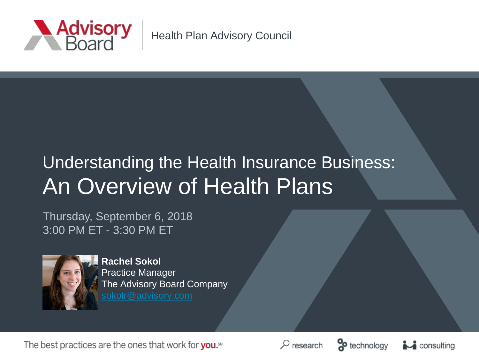

Health Plan Advisory Council

# Understanding the Health Insurance Business: An Overview of Health Plans

Thursday, September 6, 2018 3:00 PM ET - 3:30 PM ET



**Rachel Sokol** Practice Manager The Advisory Board Company

The best practices are the ones that work for you.<sup>5M</sup>





 $\sim$  consulting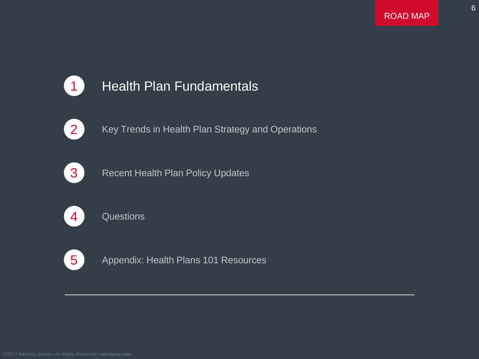6



### **1** Health Plan Fundamentals



2 Key Trends in Health Plan Strategy and Operations



**3** Recent Health Plan Policy Updates



4 Questions



5 Appendix: Health Plans 101 Resources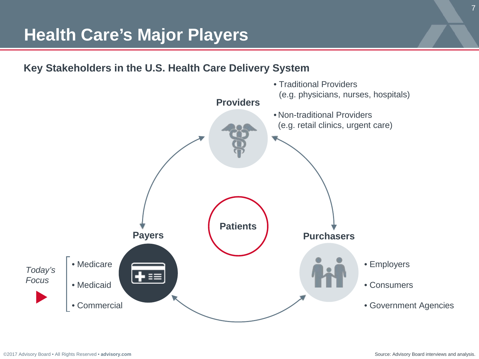### **Health Care's Major Players**

**Key Stakeholders in the U.S. Health Care Delivery System**

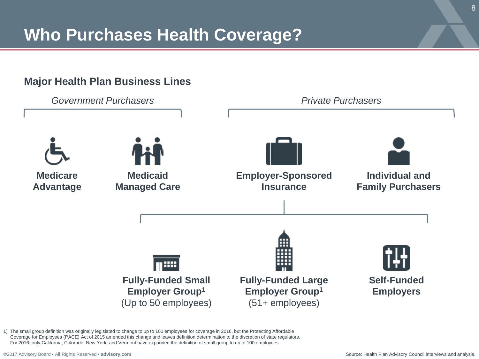# **Who Purchases Health Coverage?**

#### **Major Health Plan Business Lines**



1) The small group definition was originally legislated to change to up to 100 employees for coverage in 2016, but the Protecting Affordable Coverage for Employees (PACE) Act of 2015 amended this change and leaves definition determination to the discretion of state regulators. For 2016, only California, Colorado, New York, and Vermont have expanded the definition of small group to up to 100 employees.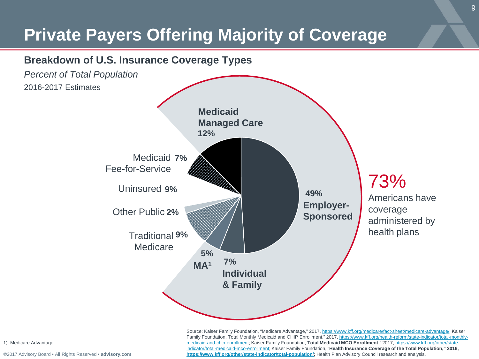# **Private Payers Offering Majority of Coverage**



Source: Kaiser Family Foundation, "Medicare Advantage," 2017, [https://www.kff.org/medicare/fact-sheet/medicare-advantage/;](https://www.kff.org/medicare/fact-sheet/medicare-advantage/) Kaiser Family Foundation, Total Monthly Medicaid and CHIP [Enrollment," 2017, https://www.kff.org/health-reform/state-indicator/total-monthly](https://www.kff.org/health-reform/state-indicator/total-monthly-medicaid-and-chip-enrollment)medicaid-and-chip-enrollment; Kaiser Family Foundation, **Total Medicaid MCO Enrollment**," 2017, https://www.kff.org/other/state[indicator/total-medicaid-mco-enrollment; Kaiser Family Foundation, "](https://www.kff.org/other/state-indicator/total-medicaid-mco-enrollment)**Health Insurance Coverage of the Total Population," 2016, <https://www.kff.org/other/state-indicator/total-population/>;** Health Plan Advisory Council research and analysis.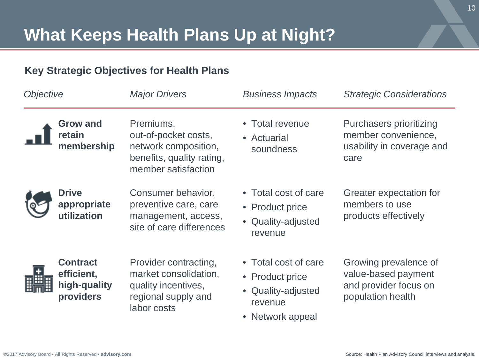#### **Key Strategic Objectives for Health Plans**

| Objective |                                                            | <b>Major Drivers</b>                                                                                          | <b>Business Impacts</b>                                                                      | <b>Strategic Considerations</b>                                                            |
|-----------|------------------------------------------------------------|---------------------------------------------------------------------------------------------------------------|----------------------------------------------------------------------------------------------|--------------------------------------------------------------------------------------------|
|           | <b>Grow and</b><br>retain<br>membership                    | Premiums,<br>out-of-pocket costs,<br>network composition,<br>benefits, quality rating,<br>member satisfaction | • Total revenue<br>• Actuarial<br>soundness                                                  | Purchasers prioritizing<br>member convenience,<br>usability in coverage and<br>care        |
|           | <b>Drive</b><br>appropriate<br>utilization                 | Consumer behavior,<br>preventive care, care<br>management, access,<br>site of care differences                | • Total cost of care<br>• Product price<br>• Quality-adjusted<br>revenue                     | Greater expectation for<br>members to use<br>products effectively                          |
|           | <b>Contract</b><br>efficient,<br>high-quality<br>providers | Provider contracting,<br>market consolidation,<br>quality incentives,<br>regional supply and<br>labor costs   | • Total cost of care<br>• Product price<br>• Quality-adjusted<br>revenue<br>• Network appeal | Growing prevalence of<br>value-based payment<br>and provider focus on<br>population health |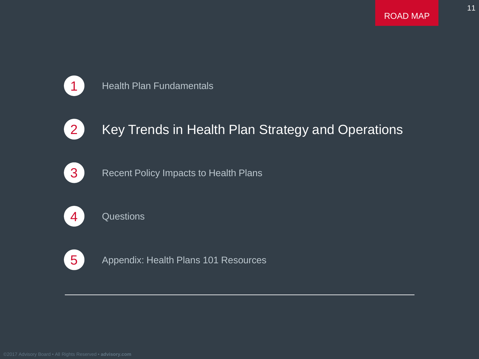11



#### **1** Health Plan Fundamentals



### 2 Key Trends in Health Plan Strategy and Operations



**3** Recent Policy Impacts to Health Plans



4 Questions



5 Appendix: Health Plans 101 Resources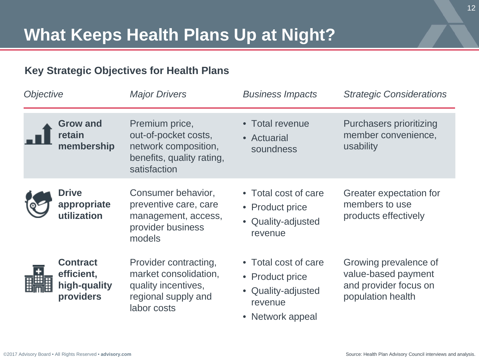#### **Key Strategic Objectives for Health Plans**

| Objective |                                                            | <b>Major Drivers</b>                                                                                        | <b>Business Impacts</b>                                                                      | <b>Strategic Considerations</b>                                                            |
|-----------|------------------------------------------------------------|-------------------------------------------------------------------------------------------------------------|----------------------------------------------------------------------------------------------|--------------------------------------------------------------------------------------------|
|           | <b>Grow and</b><br>retain<br>membership                    | Premium price,<br>out-of-pocket costs,<br>network composition,<br>benefits, quality rating,<br>satisfaction | • Total revenue<br>• Actuarial<br>soundness                                                  | Purchasers prioritizing<br>member convenience,<br>usability                                |
|           | <b>Drive</b><br>appropriate<br>utilization                 | Consumer behavior,<br>preventive care, care<br>management, access,<br>provider business<br>models           | • Total cost of care<br>• Product price<br>• Quality-adjusted<br>revenue                     | Greater expectation for<br>members to use<br>products effectively                          |
|           | <b>Contract</b><br>efficient,<br>high-quality<br>providers | Provider contracting,<br>market consolidation,<br>quality incentives,<br>regional supply and<br>labor costs | • Total cost of care<br>• Product price<br>• Quality-adjusted<br>revenue<br>• Network appeal | Growing prevalence of<br>value-based payment<br>and provider focus on<br>population health |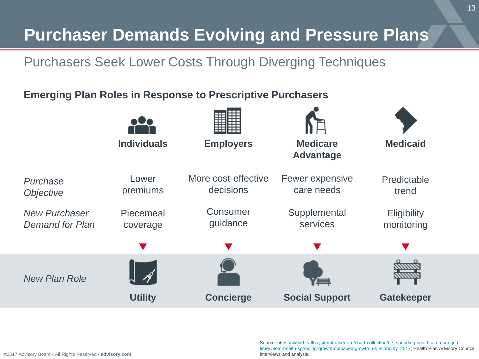### **Purchaser Demands Evolving and Pressure Plans**

### Purchasers Seek Lower Costs Through Diverging Techniques

#### **Emerging Plan Roles in Response to Prescriptive Purchasers**



Source: https://www.healthsystemtracker.org/chart-collection/u-s-spending-healthcare-changed[time/#item-health-spending-growth-outpaced-growth-u-s-economy\\_2017; Health Plan Advisory C](https://www.healthsystemtracker.org/chart-collection/u-s-spending-healthcare-changed-time/#item-health-spending-growth-outpaced-growth-u-s-economy_2017)ouncil interviews and analysis.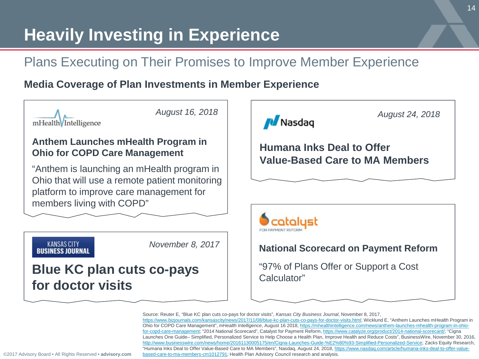# **Heavily Investing in Experience**

### Plans Executing on Their Promises to Improve Member Experience

#### **Media Coverage of Plan Investments in Member Experience**



Source: Reuter E, "Blue KC plan cuts co-pays for doctor visits", *Kansas City Business Journal*, November 8, 2017, <https://www.bizjournals.com/kansascity/news/2017/11/08/blue-kc-plan-cuts-co-pays-for-doctor-visits.html>; Wicklund E, "Anthem Launches mHealth Program in Ohio for COPD Care Management", *mHealth Intelligence*, August 16 2018, https://mhealthintelligence.com/news/anthem-launches-mhealth-program-in-ohiofor-copd-care-management; "2014 National Scorecard", Catalyst for Payment Reform, https://www.catalyze.org/product/2014-national-scorecard/; "Cigna Launches One Guide– Simplified, Personalized Service to Help Choose a Health Plan, Improve Health and Reduce Costs", BusinessWire, November 30, 2016, <http://www.businesswire.com/news/home/20161130005175/en/Cigna-Launches-Guide-%E2%80%93-Simplified-Personalized-Service>; Zacks Equity Research, ["Humana Inks Deal to Offer Value-Based Care to MA Members", Nasdaq, August 24, 2018, https://www.nasdaq.com/article/humana-inks-deal-to-offer-value](https://www.nasdaq.com/article/humana-inks-deal-to-offer-value-based-care-to-ma-members-cm1012791)based-care-to-ma-members-cm1012791; Health Plan Advisory Council research and analysis.

*August 24, 2018*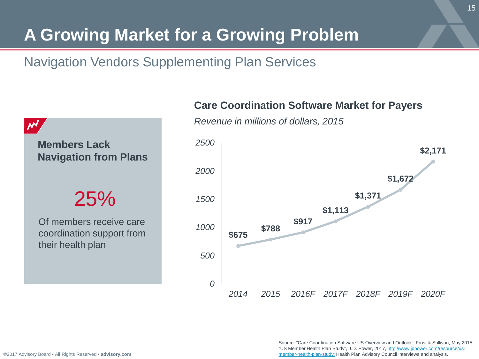# **A Growing Market for a Growing Problem**

### Navigation Vendors Supplementing Plan Services



**Members Lack Navigation from Plans**

25%

Of members receive care coordination support from their health plan

**Care Coordination Software Market for Payers**



*Revenue in millions of dollars, 2015*

Source: "Care Coordination Software US Overview and Outlook", Frost & Sullivan, May 2015; ["US Member Health Plan Study", J.D. Power, 2017, http://www.jdpower.com/resource/us](http://www.jdpower.com/resource/us-member-health-plan-study)member-health-plan-study; Health Plan Advisory Council interviews and analysis.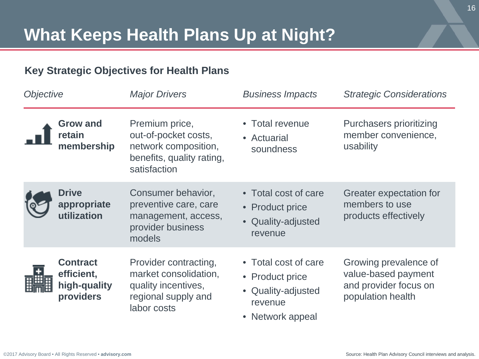#### **Key Strategic Objectives for Health Plans**

| Objective |                                                            | <b>Major Drivers</b>                                                                                        | <b>Business Impacts</b>                                                                      | <b>Strategic Considerations</b>                                                            |
|-----------|------------------------------------------------------------|-------------------------------------------------------------------------------------------------------------|----------------------------------------------------------------------------------------------|--------------------------------------------------------------------------------------------|
|           | <b>Grow and</b><br>retain<br>membership                    | Premium price,<br>out-of-pocket costs,<br>network composition,<br>benefits, quality rating,<br>satisfaction | • Total revenue<br>• Actuarial<br>soundness                                                  | Purchasers prioritizing<br>member convenience,<br>usability                                |
|           | <b>Drive</b><br>appropriate<br>utilization                 | Consumer behavior,<br>preventive care, care<br>management, access,<br>provider business<br>models           | • Total cost of care<br>• Product price<br>• Quality-adjusted<br>revenue                     | Greater expectation for<br>members to use<br>products effectively                          |
|           | <b>Contract</b><br>efficient,<br>high-quality<br>providers | Provider contracting,<br>market consolidation,<br>quality incentives,<br>regional supply and<br>labor costs | • Total cost of care<br>• Product price<br>• Quality-adjusted<br>revenue<br>• Network appeal | Growing prevalence of<br>value-based payment<br>and provider focus on<br>population health |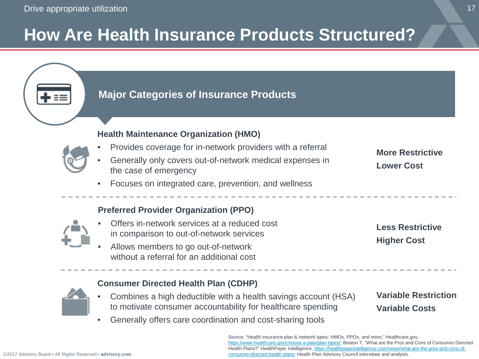# **How Are Health Insurance Products Structured?**

### **Major Categories of Insurance Products Health Maintenance Organization (HMO)** • Provides coverage for in-network providers with a referral • Generally only covers out-of-network medical expenses in the case of emergency

#### **More Restrictive Lower Cost**

• Focuses on integrated care, prevention, and wellness

#### **Preferred Provider Organization (PPO)**

- Offers in-network services at a reduced cost in comparison to out-of-network services
- Allows members to go out-of-network without a referral for an additional cost

**Less Restrictive Higher Cost**

### **Consumer Directed Health Plan (CDHP)**

- Combines a high deductible with a health savings account (HSA) to motivate consumer accountability for healthcare spending
- Generally offers care coordination and cost-sharing tools

**Variable Restriction Variable Costs**

Source: "Health insurance plan & network types: HMOs, PPOs, and more," Healthcare.gov, <https://www.healthcare.gov/choose-a-plan/plan-types/>; Beaton T, "What are the Pros and Cons of Consumer Directed Health Plans?" HealthPayer Intelligence, https://healthpayerintelligence.com/news/what-are-the-pros-and-cons-of[consumer-directed-health-plans; Health Plan Advisory Council interviews and analysis.](https://healthpayerintelligence.com/news/what-are-the-pros-and-cons-of-consumer-directed-health-plans)

17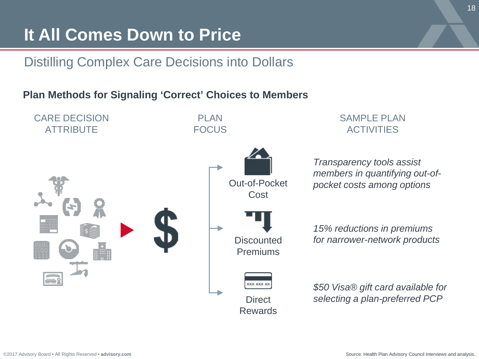### **It All Comes Down to Price**

### Distilling Complex Care Decisions into Dollars

#### **Plan Methods for Signaling 'Correct' Choices to Members**

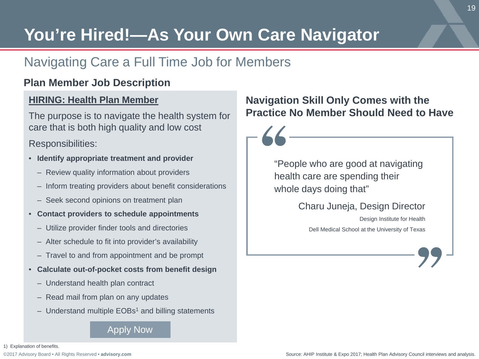# **You're Hired!—As Your Own Care Navigator**

### Navigating Care a Full Time Job for Members

#### **Plan Member Job Description**

#### **HIRING: Health Plan Member**

The purpose is to navigate the health system for care that is both high quality and low cost

Responsibilities:

- **Identify appropriate treatment and provider**
	- Review quality information about providers
	- Inform treating providers about benefit considerations
	- Seek second opinions on treatment plan
- **Contact providers to schedule appointments**
	- Utilize provider finder tools and directories
	- Alter schedule to fit into provider's availability
	- Travel to and from appointment and be prompt
- **Calculate out-of-pocket costs from benefit design**
	- Understand health plan contract
	- Read mail from plan on any updates
	- $-$  Understand multiple EOBs<sup>1</sup> and billing statements

#### Apply Now

#### 1) Explanation of benefits.

[©2017 Advisory Board • All Rights Reserved •](https://www.advisory.com/) **advisory.com**

#### **Navigation Skill Only Comes with the Practice No Member Should Need to Have**

"People who are good at navigating health care are spending their whole days doing that"

Charu Juneja, Design Director

Design Institute for Health Dell Medical School at the University of Texas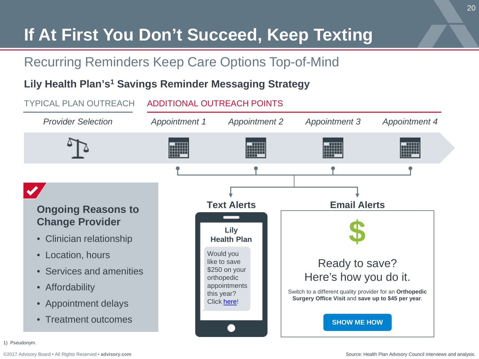# **If At First You Don't Succeed, Keep Texting**

### Recurring Reminders Keep Care Options Top-of-Mind

#### **Lily Health Plan's1 Savings Reminder Messaging Strategy**



1) Pseudonym.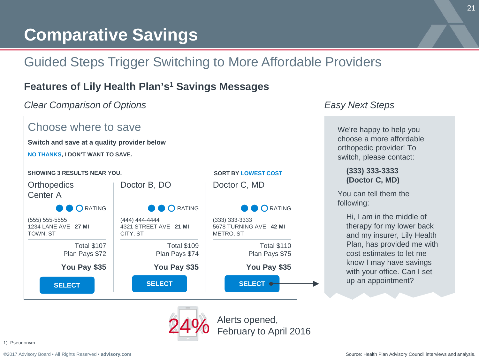# **Comparative Savings**

### Guided Steps Trigger Switching to More Affordable Providers

#### **Features of Lily Health Plan's1 Savings Messages**

*Clear Comparison of Options Easy Next Steps*



We're happy to help you choose a more affordable orthopedic provider! To switch, please contact:

#### **(333) 333-3333 (Doctor C, MD)**

You can tell them the following:

> Hi, I am in the middle of therapy for my lower back and my insurer, Lily Health Plan, has provided me with cost estimates to let me know I may have savings with your office. Can I set up an appointment?

24% Alerts opened,<br>24% February to April 2016

1) Pseudonym.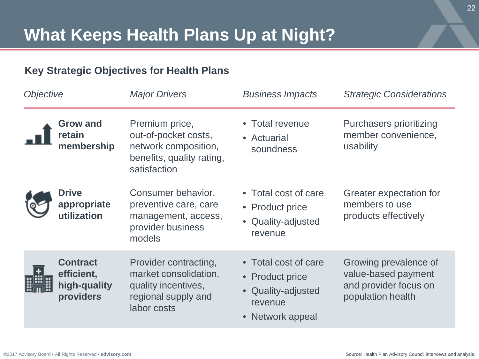#### **Key Strategic Objectives for Health Plans**

| Objective |                                                            | <b>Major Drivers</b>                                                                                        | <b>Business Impacts</b>                                                                      | <b>Strategic Considerations</b>                                                            |
|-----------|------------------------------------------------------------|-------------------------------------------------------------------------------------------------------------|----------------------------------------------------------------------------------------------|--------------------------------------------------------------------------------------------|
|           | Grow and<br>retain<br>membership                           | Premium price,<br>out-of-pocket costs,<br>network composition,<br>benefits, quality rating,<br>satisfaction | • Total revenue<br>• Actuarial<br>soundness                                                  | Purchasers prioritizing<br>member convenience,<br>usability                                |
|           | <b>Drive</b><br>appropriate<br>utilization                 | Consumer behavior,<br>preventive care, care<br>management, access,<br>provider business<br>models           | • Total cost of care<br>• Product price<br>• Quality-adjusted<br>revenue                     | Greater expectation for<br>members to use<br>products effectively                          |
|           | <b>Contract</b><br>efficient,<br>high-quality<br>providers | Provider contracting,<br>market consolidation,<br>quality incentives,<br>regional supply and<br>labor costs | • Total cost of care<br>• Product price<br>• Quality-adjusted<br>revenue<br>• Network appeal | Growing prevalence of<br>value-based payment<br>and provider focus on<br>population health |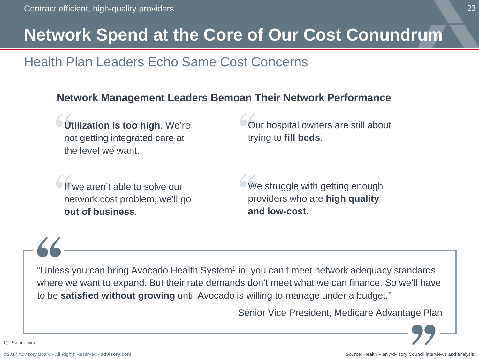### **Network Spend at the Core of Our Cost Conundrum**

### Health Plan Leaders Echo Same Cost Concerns

#### **Network Management Leaders Bemoan Their Network Performance**

**Utilization is too high**. We're not getting integrated care at the level we want.

Our hospital owners are still about trying to **fill beds**.

we aren't able to solve our network cost problem, we'll go **out of business**.

We struggle with getting enough providers who are **high quality and low-cost**.

"Unless you can bring Avocado Health System<sup>1</sup> in, you can't meet network adequacy standards where we want to expand. But their rate demands don't meet what we can finance. So we'll have to be **satisfied without growing** until Avocado is willing to manage under a budget."

Senior Vice President, Medicare Advantage Plan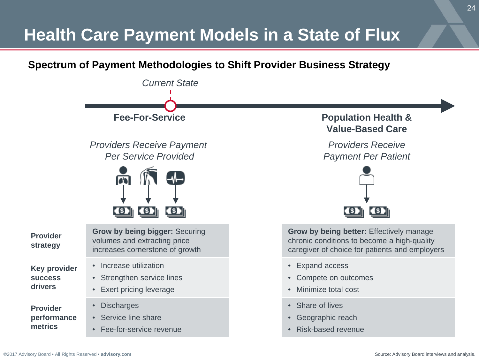# **Health Care Payment Models in a State of Flux**

#### **Spectrum of Payment Methodologies to Shift Provider Business Strategy**

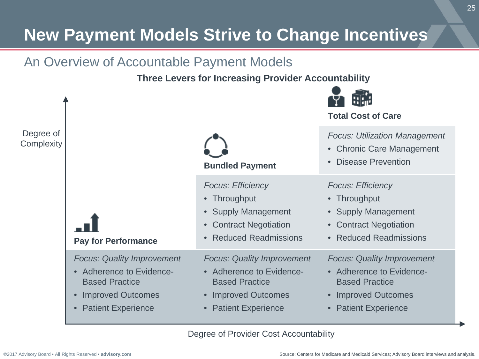# **New Payment Models Strive to Change Incentives**

### An Overview of Accountable Payment Models

**Three Levers for Increasing Provider Accountability**



Degree of Provider Cost Accountability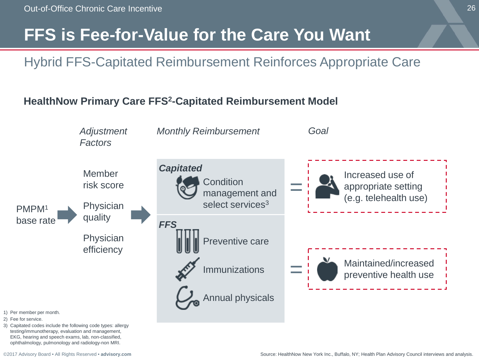### **FFS is Fee-for-Value for the Care You Want**

### Hybrid FFS-Capitated Reimbursement Reinforces Appropriate Care

#### **HealthNow Primary Care FFS2-Capitated Reimbursement Model**



3) Capitated codes include the following code types: allergy testing/immunotherapy, evaluation and management, EKG, hearing and speech exams, lab, non-classified, ophthalmology, pulmonology and radiology-non MRI.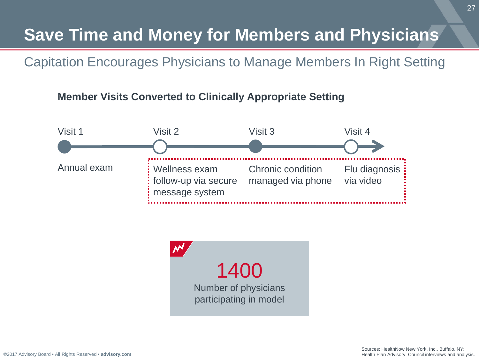# **Save Time and Money for Members and Physicians**

Capitation Encourages Physicians to Manage Members In Right Setting

#### **Member Visits Converted to Clinically Appropriate Setting**





[©2017 Advisory Board • All Rights Reserved •](https://www.advisory.com/) **advisory.com**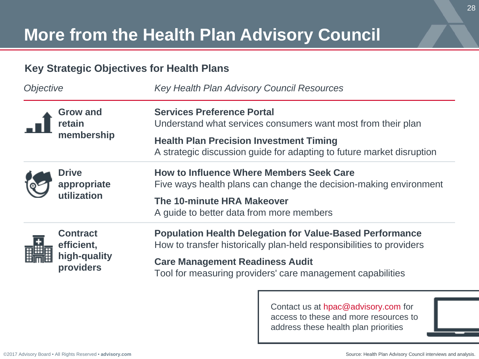# **More from the Health Plan Advisory Council**

#### **Key Strategic Objectives for Health Plans**

| <i><b>Objective</b></i> |                                                            | Key Health Plan Advisory Council Resources                                                                                              |  |  |
|-------------------------|------------------------------------------------------------|-----------------------------------------------------------------------------------------------------------------------------------------|--|--|
|                         | <b>Grow and</b><br>retain<br>membership                    | <b>Services Preference Portal</b><br>Understand what services consumers want most from their plan                                       |  |  |
|                         |                                                            | <b>Health Plan Precision Investment Timing</b><br>A strategic discussion guide for adapting to future market disruption                 |  |  |
|                         | <b>Drive</b><br>appropriate<br>utilization                 | <b>How to Influence Where Members Seek Care</b><br>Five ways health plans can change the decision-making environment                    |  |  |
|                         |                                                            | The 10-minute HRA Makeover<br>A guide to better data from more members                                                                  |  |  |
| 頭頭頭                     | <b>Contract</b><br>efficient,<br>high-quality<br>providers | <b>Population Health Delegation for Value-Based Performance</b><br>How to transfer historically plan-held responsibilities to providers |  |  |
|                         |                                                            | <b>Care Management Readiness Audit</b><br>Tool for measuring providers' care management capabilities                                    |  |  |

Contact us at hpac@advisory.com for access to these and more resources to address these health plan priorities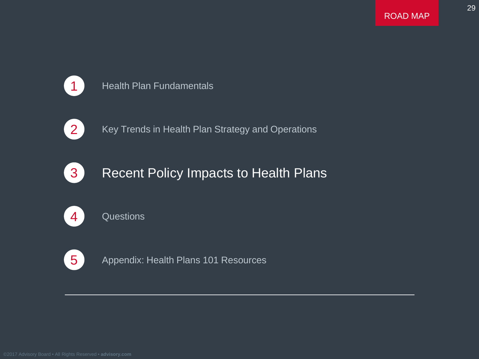29



#### 1 Health Plan Fundamentals



2 Key Trends in Health Plan Strategy and Operations



### **3** Recent Policy Impacts to Health Plans



#### 4 Questions



5 Appendix: Health Plans 101 Resources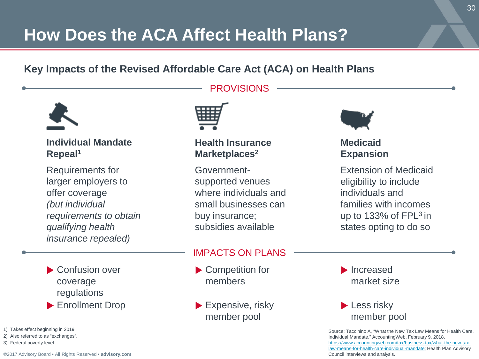# **How Does the ACA Affect Health Plans?**

#### **Key Impacts of the Revised Affordable Care Act (ACA) on Health Plans**



**Individual Mandate Repeal1**

Requirements for larger employers to offer coverage *(but individual requirements to obtain qualifying health insurance repealed)*



Enrollment Drop

1) Takes effect beginning in 2019

- 2) Also referred to as "exchanges".
- 3) Federal poverty level.



#### **Health Insurance Marketplaces2**

**PROVISIONS** 

Governmentsupported venues where individuals and small businesses can buy insurance; subsidies available

#### IMPACTS ON PLANS

- ▶ Competition for members
- $\blacktriangleright$  Expensive, risky member pool



#### **Medicaid Expansion**

Extension of Medicaid eligibility to include individuals and families with incomes up to 133% of FPL3 in states opting to do so

Increased market size

#### **Less risky** member pool

Source: Taccihino A, "What the New Tax Law Means for Health Care, Individual Mandate," AccountingWeb, February 9, 2018, https://www.accountingweb.com/tax/business-tax/what-the-new-tax[law-means-for-health-care-individual-mandate; Health Plan Advisory](https://www.accountingweb.com/tax/business-tax/what-the-new-tax-law-means-for-health-care-individual-mandate) Council interviews and analysis.

[©2017 Advisory Board • All Rights Reserved •](https://www.advisory.com/) **advisory.com**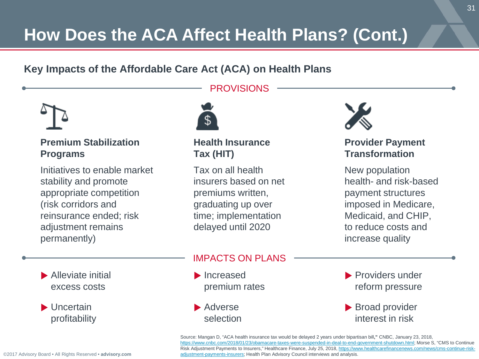# **How Does the ACA Affect Health Plans? (Cont.)**

#### **Key Impacts of the Affordable Care Act (ACA) on Health Plans**



#### **Premium Stabilization Programs**

Initiatives to enable market stability and promote appropriate competition (risk corridors and reinsurance ended; risk adjustment remains permanently)



**Health Insurance Tax (HIT)**

**PROVISIONS** 

Tax on all health insurers based on net premiums written, graduating up over time; implementation delayed until 2020



#### **Provider Payment Transformation**

New population health- and risk-based payment structures imposed in Medicare, Medicaid, and CHIP, to reduce costs and increase quality

- **Alleviate initial** excess costs
- Uncertain profitability

#### IMPACTS ON PLANS

- Increased premium rates
- Adverse selection
- **Providers under** reform pressure
- **Broad provider** interest in risk

Source: Mangan D, "ACA health insurance tax would be delayed 2 years under bipartisan bill**,"** CNBC, January 23, 2018, [https://www.cnbc.com/2018/01/23/obamacare-taxes-were-suspended-in-deal-to-end-government-shutdown.html;](https://www.cnbc.com/2018/01/23/obamacare-taxes-were-suspended-in-deal-to-end-government-shutdown.html) Morse S, "CMS to Continue [Risk Adjustment Payments to Insurers," Healthcare Finance, July 25, 2018, https://www.healthcarefinancenews.com/news/cms-continue-risk](https://www.healthcarefinancenews.com/news/cms-continue-risk-adjustment-payments-insurers)adjustment-payments-insurers; Health Plan Advisory Council interviews and analysis.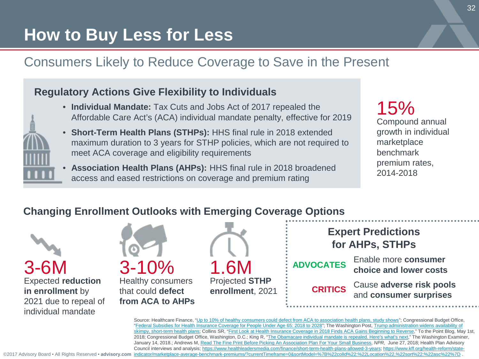# **How to Buy Less for Less**

### Consumers Likely to Reduce Coverage to Save in the Present

#### **Regulatory Actions Give Flexibility to Individuals**

- 
- **Individual Mandate:** Tax Cuts and Jobs Act of 2017 repealed the Affordable Care Act's (ACA) individual mandate penalty, effective for 2019
- **Short-Term Health Plans (STHPs):** HHS final rule in 2018 extended maximum duration to 3 years for STHP policies, which are not required to meet ACA coverage and eligibility requirements
- **Association Health Plans (AHPs):** HHS final rule in 2018 broadened access and eased restrictions on coverage and premium rating

Compound annual growth in individual marketplace benchmark premium rates, 2014-2018 15%

#### **Changing Enrollment Outlooks with Emerging Coverage Options**



Healthy consumers that could **defect from ACA to AHPs**





**ADVOCATES**

Enable more **consumer choice and lower costs**

**CRITICS**

Cause **adverse risk pools**  and **consumer surprises**

Source: Healthcare Finance, "[Up to 10% of healthy consumers could defect from ACA to association health plans, study shows"](https://www.healthcarefinancenews.com/news/10-healthy-consumers-could-defect-aca-association-health-plans-study-shows); Congressional Budget Office, "[Federal Subsidies for Health Insurance Coverage for People Under Age 65: 2018 to 2028"](https://www.cbo.gov/system/files/115th-congress-2017-2018/reports/53826-healthinsurancecoverage.pdf); The Washington Post, Trump administration widens availability of [skimpy, short-term health plans; Collins SR, "First Look at Health Insurance Coverage in 2018 Finds ACA Gains Beginning to Reverse," To the Point Blog, Ma](https://www.washingtonpost.com/national/health-science/trump-administration-widens-availability-of-skimpy-short-term-health-plans/2018/07/31/a5cf2bc2-94d2-11e8-810c-5fa705927d54_story.html?utm_term=.8b03f064dfeb)y 1st, 2018; Congressional Budget Office, Washington, D.C.; King R, "[The Obamacare individual mandate is repealed. Here's what's next](https://www.washingtonexaminer.com/the-obamacare-individual-mandate-is-repealed-heres-whats-next)," The Washington Examiner, January 14, 2018.; Andrews M, [Read The Fine Print Before Picking An Association Plan For Your Small Business,](https://www.npr.org/sections/health-shots/2018/06/27/623626154/read-the-fine-print-before-picking-bout-an-association-plan-for-your-small-busin) *NPR,* June 27, 2018; Health Plan Advisory Council interviews and analysis; [https://www.healthleadersmedia.com/finance/short-term-health-plans-allowed-3-years;](https://www.healthleadersmedia.com/finance/short-term-health-plans-allowed-3-years) https://www.kff.org/health-reform/stateindicator/marketplace-average-benchmark-premiums/?currentTimeframe=0&sortModel=%7B%22colId%22:%22Location%22,%22sort%22:

[©2017 Advisory Board • All Rights Reserved •](https://www.advisory.com/) **advisory.com**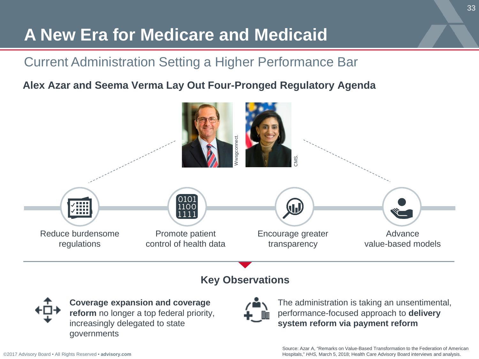# **A New Era for Medicare and Medicaid**

### Current Administration Setting a Higher Performance Bar

### **Alex Azar and Seema Verma Lay Out Four-Pronged Regulatory Agenda**



#### **Key Observations**



**Coverage expansion and coverage reform** no longer a top federal priority, increasingly delegated to state governments



The administration is taking an unsentimental, performance-focused approach to **delivery system reform via payment reform** 

Source: Azar A, "Remarks on Value-Based Transformation to the Federation of American Hospitals," *HHS,* March 5, 2018; Health Care Advisory Board interviews and analysis.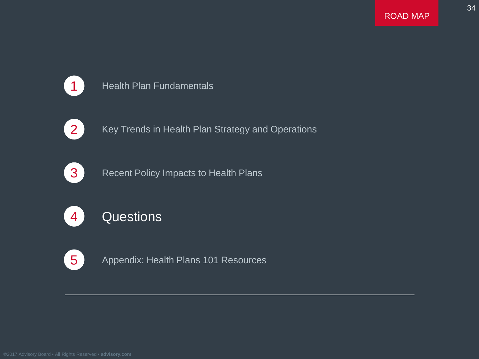34



#### 1 Health Plan Fundamentals



2 Key Trends in Health Plan Strategy and Operations



**3** Recent Policy Impacts to Health Plans



### 4 Questions



5 Appendix: Health Plans 101 Resources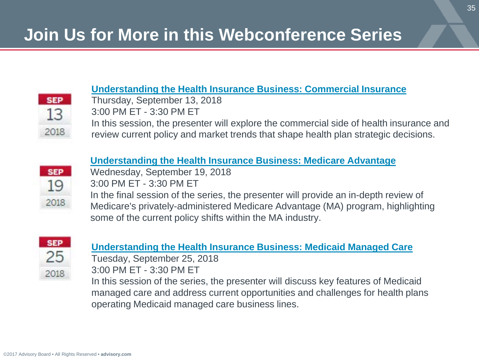#### **[Understanding the Health Insurance Business: Commercial Insurance](https://www.advisory.com/research/health-plan-advisory-council/members/events/webconferences/2017/understanding-the-health-insurance-business/understanding-the-health-insurance-business-commercial-insurance)**

**SEP** 13 2018 Thursday, September 13, 2018 3:00 PM ET - 3:30 PM ET

In this session, the presenter will explore the commercial side of health insurance and review current policy and market trends that shape health plan strategic decisions.

#### **[Understanding the Health Insurance Business: Medicare Advantage](https://www.advisory.com/research/health-plan-advisory-council/members/events/webconferences/2017/understanding-the-health-insurance-business/understanding-the-health-insurance-business-medicare-advantage)**



Wednesday, September 19, 2018

3:00 PM ET - 3:30 PM ET

In the final session of the series, the presenter will provide an in-depth review of Medicare's privately-administered Medicare Advantage (MA) program, highlighting some of the current policy shifts within the MA industry.



#### **[Understanding the Health Insurance Business: Medicaid Managed Care](https://www.advisory.com/research/health-plan-advisory-council/members/events/webconferences/2017/understanding-the-health-insurance-business/understanding-the-health-insurance-business-medicaid)**

Tuesday, September 25, 2018 3:00 PM ET - 3:30 PM ET

In this session of the series, the presenter will discuss key features of Medicaid managed care and address current opportunities and challenges for health plans operating Medicaid managed care business lines.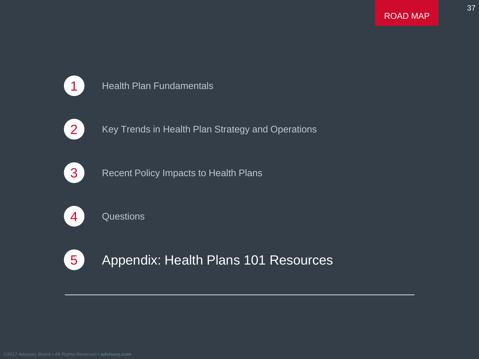37



#### 1 Health Plan Fundamentals



2 Key Trends in Health Plan Strategy and Operations



**3** Recent Policy Impacts to Health Plans



4 Questions



5 Appendix: Health Plans 101 Resources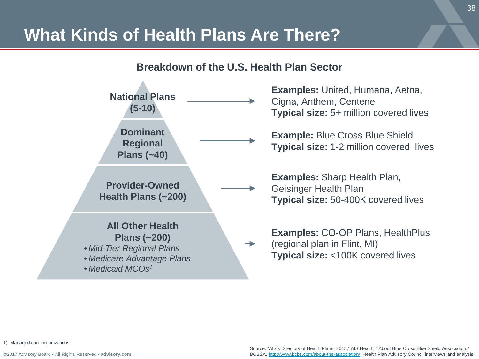### **What Kinds of Health Plans Are There?**

#### **Breakdown of the U.S. Health Plan Sector**



1) Managed care organizations.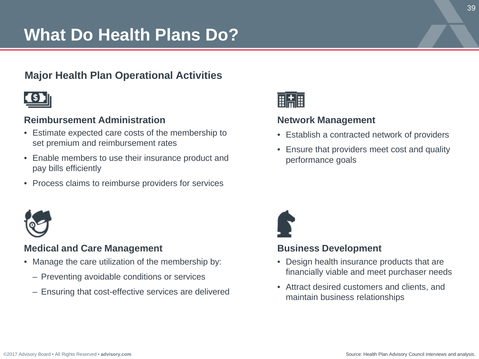# **What Do Health Plans Do?**

#### **Major Health Plan Operational Activities**



#### **Reimbursement Administration**

- Estimate expected care costs of the membership to set premium and reimbursement rates
- Enable members to use their insurance product and pay bills efficiently
- Process claims to reimburse providers for services



#### **Medical and Care Management**

- Manage the care utilization of the membership by:
	- Preventing avoidable conditions or services
	- Ensuring that cost-effective services are delivered



#### **Network Management**

- Establish a contracted network of providers
- Ensure that providers meet cost and quality performance goals



#### **Business Development**

- Design health insurance products that are financially viable and meet purchaser needs
- Attract desired customers and clients, and maintain business relationships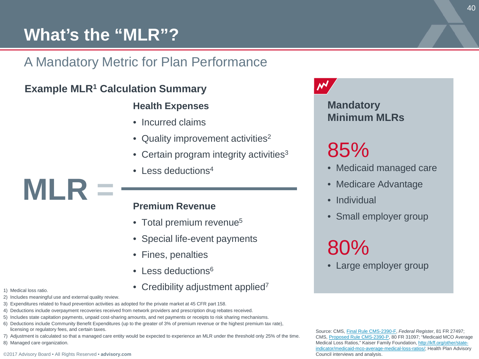### **What's the "MLR"?**

### A Mandatory Metric for Plan Performance

#### **Example MLR1 Calculation Summary**

#### **Health Expenses**

- Incurred claims
- Quality improvement activities<sup>2</sup>
- Certain program integrity activities<sup>3</sup>
- Less deductions<sup>4</sup>

#### **Premium Revenue**

- Total premium revenue<sup>5</sup>
- Special life-event payments
- Fines, penalties
- Less deductions<sup>6</sup>
- Credibility adjustment applied<sup>7</sup>
- 1) Medical loss ratio.
- 2) Includes meaningful use and external quality review.

**MLR =**

- 3) Expenditures related to fraud prevention activities as adopted for the private market at 45 CFR part 158.
- 4) Deductions include overpayment recoveries received from network providers and prescription drug rebates received.
- 5) Includes state capitation payments, unpaid cost-sharing amounts, and net payments or receipts to risk sharing mechanisms.
- 6) Deductions include Community Benefit Expenditures (up to the greater of 3% of premium revenue or the highest premium tax rate), licensing or regulatory fees, and certain taxes.
- 7) Adjustment is calculated so that a managed care entity would be expected to experience an MLR under the threshold only 25% of the time.
- 8) Managed care organization.

#### $\boldsymbol{\mathcal{N}}$

#### **Mandatory Minimum MLRs**

# 85%

- Medicaid managed care
- Medicare Advantage
- Individual
- Small employer group

80%

• Large employer group

Source: CMS, [Final Rule CMS-2390-F,](https://www.federalregister.gov/articles/2016/05/06/2016-09581/medicaid-and-childrens-health-insurance-program-chip-programs-medicaid-managed-care-chip-delivered) *Federal Register*, 81 FR 27497; CMS, [Proposed Rule CMS-2390-P](https://www.federalregister.gov/articles/2015/06/01/2015-12965/medicaid-and-childrens-health-insurance-program-chip-programs-medicaid-managed-care-chip-delivered), 80 FR 31097; "Medicaid MCO Average Medical Loss [Ratios," Kaiser Family Foundation, http://kff.org/other/state](http://kff.org/other/state-indicator/medicaid-mco-average-medical-loss-ratios/)indicator/medicaid-mco-average-medical-loss-ratios/; Health Plan Advisory Council interviews and analysis.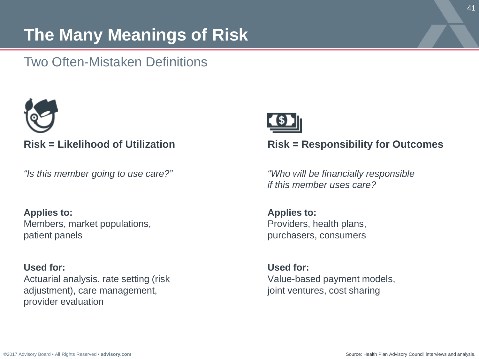# **The Many Meanings of Risk**

### Two Often-Mistaken Definitions



#### **Risk = Likelihood of Utilization**

*"Is this member going to use care?"*

**Applies to:**  Members, market populations, patient panels

**Used for:** Actuarial analysis, rate setting (risk adjustment), care management, provider evaluation



#### **Risk = Responsibility for Outcomes**

*"Who will be financially responsible if this member uses care?*

**Applies to:** Providers, health plans, purchasers, consumers

**Used for:** Value-based payment models, joint ventures, cost sharing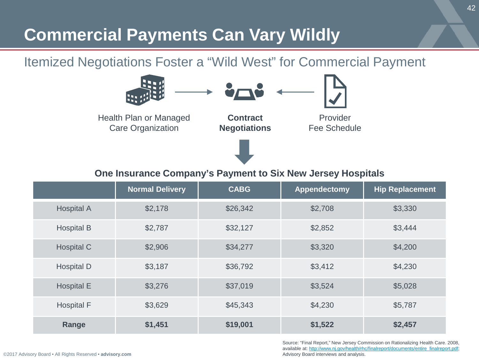# **Commercial Payments Can Vary Wildly**

### Itemized Negotiations Foster a "Wild West" for Commercial Payment



#### **One Insurance Company's Payment to Six New Jersey Hospitals**

|                   | <b>Normal Delivery</b> | <b>CABG</b> | Appendectomy | <b>Hip Replacement</b> |
|-------------------|------------------------|-------------|--------------|------------------------|
| <b>Hospital A</b> | \$2,178                | \$26,342    | \$2,708      | \$3,330                |
| <b>Hospital B</b> | \$2.787                | \$32.127    | \$2,852      | \$3.444                |
| Hospital C        | \$2,906                | \$34,277    | \$3,320      | \$4,200                |
| Hospital D        | \$3,187                | \$36,792    | \$3,412      | \$4,230                |
| <b>Hospital E</b> | \$3,276                | \$37,019    | \$3,524      | \$5,028                |
| <b>Hospital F</b> | \$3.629                | \$45,343    | \$4,230      | \$5.787                |
| Range             | \$1,451                | \$19,001    | \$1,522      | \$2,457                |

Source: "Final Report," New Jersey Commission on Rationalizing Health Care. 2008, available at: [http://www.nj.gov/health/rhc/finalreport/documents/entire\\_finalreport.pdf](http://www.nj.gov/health/rhc/finalreport/documents/entire_finalreport.pdf); Advisory Board interviews and analysis.